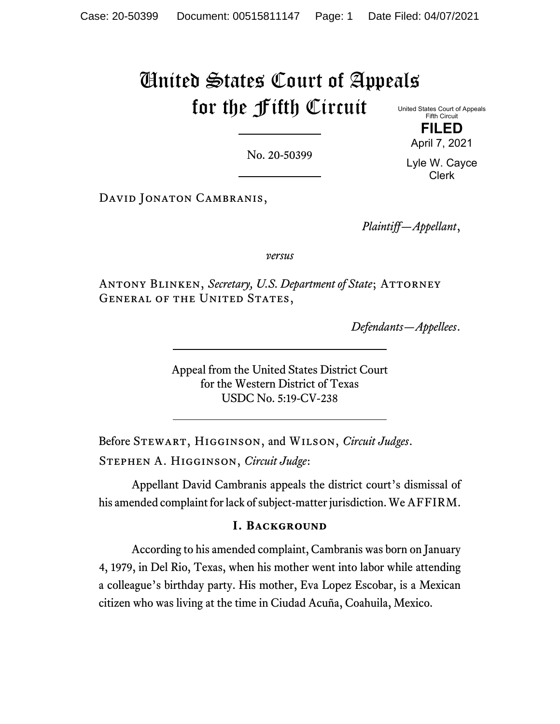# United States Court of Appeals for the Fifth Circuit United States Court of Appeals

No. 20-50399

April 7, 2021

Fifth Circuit **FILED**

DAVID JONATON CAMBRANIS,

*Plaintiff—Appellant*,

*versus*

ANTONY BLINKEN, *Secretary*, U.S. Department of State; ATTORNEY GENERAL OF THE UNITED STATES,

*Defendants—Appellees*.

Appeal from the United States District Court for the Western District of Texas USDC No. 5:19-CV-238

Before Stewart, Higginson, and Wilson, *Circuit Judges*. Stephen A. Higginson, *Circuit Judge*:

Appellant David Cambranis appeals the district court's dismissal of his amended complaint for lack of subject-matter jurisdiction. We AFFIRM.

# **I. Background**

According to his amended complaint, Cambranis was born on January 4, 1979, in Del Rio, Texas, when his mother went into labor while attending a colleague's birthday party. His mother, Eva Lopez Escobar, is a Mexican citizen who was living at the time in Ciudad Acuña, Coahuila, Mexico.

Lyle W. Cayce Clerk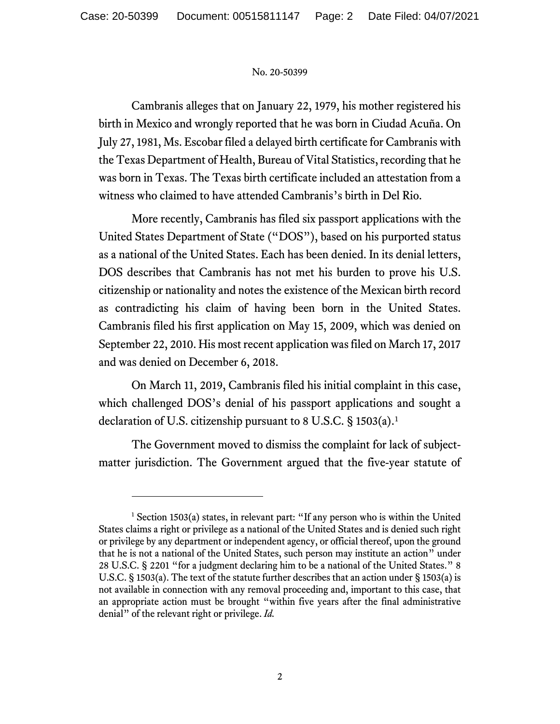Cambranis alleges that on January 22, 1979, his mother registered his birth in Mexico and wrongly reported that he was born in Ciudad Acuña. On July 27, 1981, Ms. Escobar filed a delayed birth certificate for Cambranis with the Texas Department of Health, Bureau of Vital Statistics, recording that he was born in Texas. The Texas birth certificate included an attestation from a witness who claimed to have attended Cambranis's birth in Del Rio.

More recently, Cambranis has filed six passport applications with the United States Department of State ("DOS"), based on his purported status as a national of the United States. Each has been denied. In its denial letters, DOS describes that Cambranis has not met his burden to prove his U.S. citizenship or nationality and notes the existence of the Mexican birth record as contradicting his claim of having been born in the United States. Cambranis filed his first application on May 15, 2009, which was denied on September 22, 2010. His most recent application was filed on March 17, 2017 and was denied on December 6, 2018.

On March 11, 2019, Cambranis filed his initial complaint in this case, which challenged DOS's denial of his passport applications and sought a declaration of U.S. citizenship pursuant to 8 U.S.C. § [1](#page-1-0)503(a).<sup>1</sup>

The Government moved to dismiss the complaint for lack of subjectmatter jurisdiction. The Government argued that the five-year statute of

<span id="page-1-0"></span> $1$  Section 1503(a) states, in relevant part: "If any person who is within the United States claims a right or privilege as a national of the United States and is denied such right or privilege by any department or independent agency, or official thereof, upon the ground that he is not a national of the United States, such person may institute an action" under 28 U.S.C. § 2201 "for a judgment declaring him to be a national of the United States." 8 U.S.C. § 1503(a). The text of the statute further describes that an action under § 1503(a) is not available in connection with any removal proceeding and, important to this case, that an appropriate action must be brought "within five years after the final administrative denial" of the relevant right or privilege. *Id.*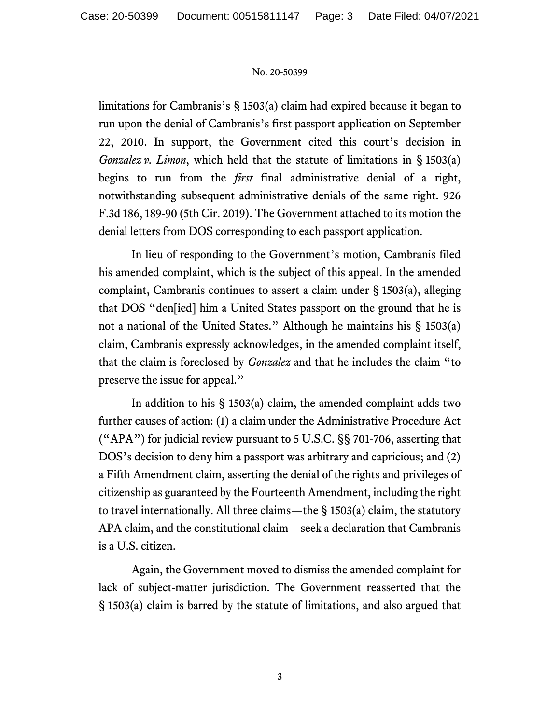limitations for Cambranis's § 1503(a) claim had expired because it began to run upon the denial of Cambranis's first passport application on September 22, 2010. In support, the Government cited this court's decision in *Gonzalez v. Limon*, which held that the statute of limitations in § 1503(a) begins to run from the *first* final administrative denial of a right, notwithstanding subsequent administrative denials of the same right. 926 F.3d 186, 189-90 (5th Cir. 2019). The Government attached to its motion the denial letters from DOS corresponding to each passport application.

In lieu of responding to the Government's motion, Cambranis filed his amended complaint, which is the subject of this appeal. In the amended complaint, Cambranis continues to assert a claim under § 1503(a), alleging that DOS "den[ied] him a United States passport on the ground that he is not a national of the United States." Although he maintains his § 1503(a) claim, Cambranis expressly acknowledges, in the amended complaint itself, that the claim is foreclosed by *Gonzalez* and that he includes the claim "to preserve the issue for appeal."

In addition to his § 1503(a) claim, the amended complaint adds two further causes of action: (1) a claim under the Administrative Procedure Act ("APA") for judicial review pursuant to 5 U.S.C. §§ 701-706, asserting that DOS's decision to deny him a passport was arbitrary and capricious; and (2) a Fifth Amendment claim, asserting the denial of the rights and privileges of citizenship as guaranteed by the Fourteenth Amendment, including the right to travel internationally. All three claims—the § 1503(a) claim, the statutory APA claim, and the constitutional claim—seek a declaration that Cambranis is a U.S. citizen.

Again, the Government moved to dismiss the amended complaint for lack of subject-matter jurisdiction. The Government reasserted that the § 1503(a) claim is barred by the statute of limitations, and also argued that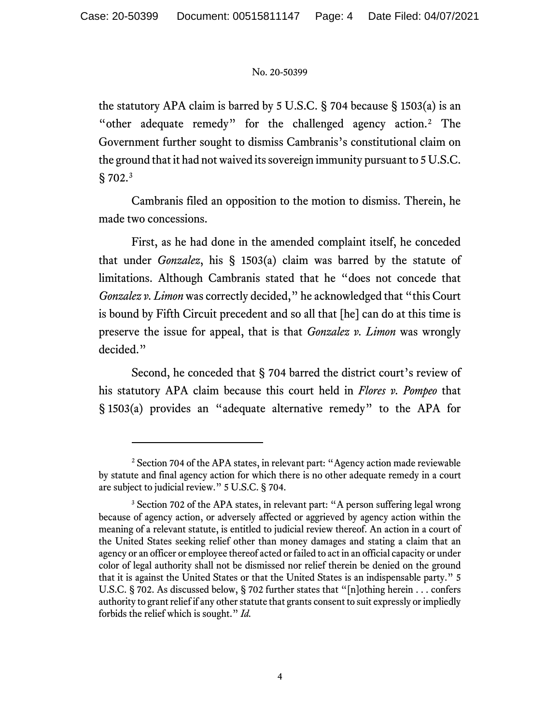the statutory APA claim is barred by 5 U.S.C. § 704 because § 1503(a) is an "other adequate remedy" for the challenged agency action.[2](#page-3-0) The Government further sought to dismiss Cambranis's constitutional claim on the ground that it had not waived its sovereign immunity pursuant to 5 U.S.C. § 702.[3](#page-3-1)

Cambranis filed an opposition to the motion to dismiss. Therein, he made two concessions.

First, as he had done in the amended complaint itself, he conceded that under *Gonzalez*, his § 1503(a) claim was barred by the statute of limitations. Although Cambranis stated that he "does not concede that *Gonzalez v. Limon* was correctly decided," he acknowledged that "this Court is bound by Fifth Circuit precedent and so all that [he] can do at this time is preserve the issue for appeal, that is that *Gonzalez v. Limon* was wrongly decided."

Second, he conceded that § 704 barred the district court's review of his statutory APA claim because this court held in *Flores v. Pompeo* that § 1503(a) provides an "adequate alternative remedy" to the APA for

<span id="page-3-0"></span><sup>&</sup>lt;sup>2</sup> Section 704 of the APA states, in relevant part: "Agency action made reviewable by statute and final agency action for which there is no other adequate remedy in a court are subject to judicial review." 5 U.S.C. § 704.

<span id="page-3-1"></span><sup>&</sup>lt;sup>3</sup> Section 702 of the APA states, in relevant part: "A person suffering legal wrong because of agency action, or adversely affected or aggrieved by agency action within the meaning of a relevant statute, is entitled to judicial review thereof. An action in a court of the United States seeking relief other than money damages and stating a claim that an agency or an officer or employee thereof acted or failed to act in an official capacity or under color of legal authority shall not be dismissed nor relief therein be denied on the ground that it is against the United States or that the United States is an indispensable party." 5 U.S.C. § 702. As discussed below, § 702 further states that "[n]othing herein . . . confers authority to grant relief if any other statute that grants consent to suit expressly or impliedly forbids the relief which is sought." *Id.*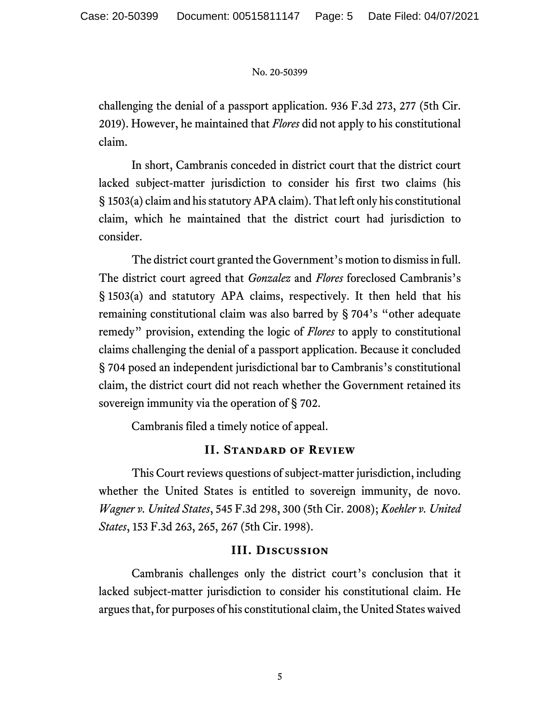challenging the denial of a passport application. 936 F.3d 273, 277 (5th Cir. 2019). However, he maintained that *Flores* did not apply to his constitutional claim.

In short, Cambranis conceded in district court that the district court lacked subject-matter jurisdiction to consider his first two claims (his § 1503(a) claim and his statutory APA claim). That left only his constitutional claim, which he maintained that the district court had jurisdiction to consider.

The district court granted the Government's motion to dismiss in full. The district court agreed that *Gonzalez* and *Flores* foreclosed Cambranis's § 1503(a) and statutory APA claims, respectively. It then held that his remaining constitutional claim was also barred by § 704's "other adequate remedy" provision, extending the logic of *Flores* to apply to constitutional claims challenging the denial of a passport application. Because it concluded § 704 posed an independent jurisdictional bar to Cambranis's constitutional claim, the district court did not reach whether the Government retained its sovereign immunity via the operation of § 702.

Cambranis filed a timely notice of appeal.

# **II. Standard of Review**

This Court reviews questions of subject-matter jurisdiction, including whether the United States is entitled to sovereign immunity, de novo. *Wagner v. United States*, 545 F.3d 298, 300 (5th Cir. 2008); *Koehler v. United States*, 153 F.3d 263, 265, 267 (5th Cir. 1998).

# **III. Discussion**

Cambranis challenges only the district court's conclusion that it lacked subject-matter jurisdiction to consider his constitutional claim. He argues that, for purposes of his constitutional claim, the United States waived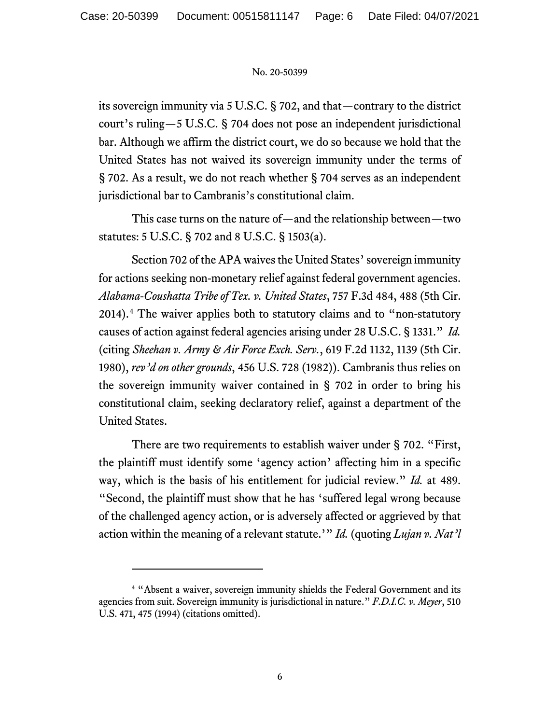its sovereign immunity via 5 U.S.C. § 702, and that—contrary to the district court's ruling—5 U.S.C. § 704 does not pose an independent jurisdictional bar. Although we affirm the district court, we do so because we hold that the United States has not waived its sovereign immunity under the terms of § 702. As a result, we do not reach whether § 704 serves as an independent jurisdictional bar to Cambranis's constitutional claim.

This case turns on the nature of—and the relationship between—two statutes: 5 U.S.C. § 702 and 8 U.S.C. § 1503(a).

Section 702 of the APA waives the United States' sovereign immunity for actions seeking non-monetary relief against federal government agencies. *Alabama-Coushatta Tribe of Tex. v. United States*, 757 F.3d 484, 488 (5th Cir. 2014). [4](#page-5-0) The waiver applies both to statutory claims and to "non-statutory causes of action against federal agencies arising under 28 U.S.C. § 1331." *Id.*  (citing *Sheehan v. Army & Air Force Exch. Serv.*, 619 F.2d 1132, 1139 (5th Cir. 1980), *rev'd on other grounds*, 456 U.S. 728 (1982)). Cambranis thus relies on the sovereign immunity waiver contained in § 702 in order to bring his constitutional claim, seeking declaratory relief, against a department of the United States.

There are two requirements to establish waiver under § 702. "First, the plaintiff must identify some 'agency action' affecting him in a specific way, which is the basis of his entitlement for judicial review." *Id.* at 489. "Second, the plaintiff must show that he has 'suffered legal wrong because of the challenged agency action, or is adversely affected or aggrieved by that action within the meaning of a relevant statute.'" *Id.* (quoting *Lujan v. Nat'l* 

<span id="page-5-0"></span><sup>4</sup> "Absent a waiver, sovereign immunity shields the Federal Government and its agencies from suit. Sovereign immunity is jurisdictional in nature." *F.D.I.C. v. Meyer*, 510 U.S. 471, 475 (1994) (citations omitted).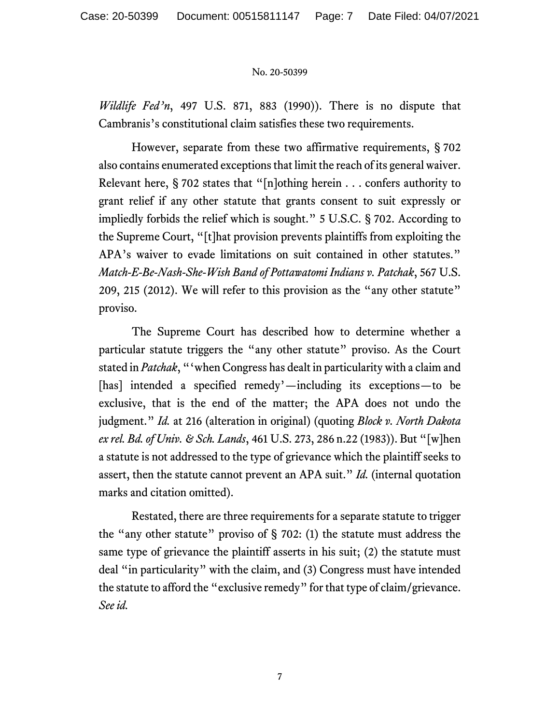*Wildlife Fed'n*, 497 U.S. 871, 883 (1990)). There is no dispute that Cambranis's constitutional claim satisfies these two requirements.

However, separate from these two affirmative requirements, § 702 also contains enumerated exceptions that limit the reach of its general waiver. Relevant here, § 702 states that "[n]othing herein . . . confers authority to grant relief if any other statute that grants consent to suit expressly or impliedly forbids the relief which is sought." 5 U.S.C. § 702. According to the Supreme Court, "[t]hat provision prevents plaintiffs from exploiting the APA's waiver to evade limitations on suit contained in other statutes." *Match-E-Be-Nash-She-Wish Band of Pottawatomi Indians v. Patchak*, 567 U.S. 209, 215 (2012). We will refer to this provision as the "any other statute" proviso.

The Supreme Court has described how to determine whether a particular statute triggers the "any other statute" proviso. As the Court stated in *Patchak*, "'when Congress has dealt in particularity with a claim and [has] intended a specified remedy'—including its exceptions—to be exclusive, that is the end of the matter; the APA does not undo the judgment." *Id.* at 216 (alteration in original) (quoting *Block v. North Dakota ex rel. Bd.of Univ. & Sch. Lands*, 461 U.S. 273, 286 n.22 (1983)). But "[w]hen a statute is not addressed to the type of grievance which the plaintiff seeks to assert, then the statute cannot prevent an APA suit." *Id.* (internal quotation marks and citation omitted).

Restated, there are three requirements for a separate statute to trigger the "any other statute" proviso of  $\S$  702: (1) the statute must address the same type of grievance the plaintiff asserts in his suit; (2) the statute must deal "in particularity" with the claim, and (3) Congress must have intended the statute to afford the "exclusive remedy" for that type of claim/grievance. *See id.*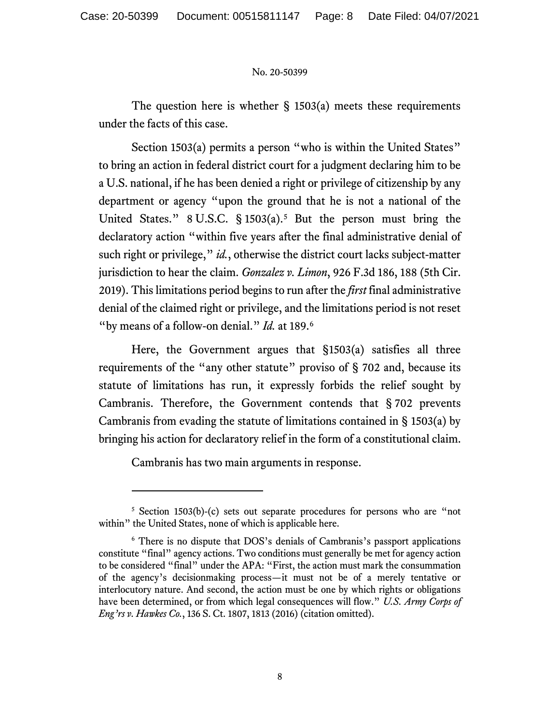The question here is whether  $\S$  1503(a) meets these requirements under the facts of this case.

Section 1503(a) permits a person "who is within the United States" to bring an action in federal district court for a judgment declaring him to be a U.S. national, if he has been denied a right or privilege of citizenship by any department or agency "upon the ground that he is not a national of the United States."  $8 \text{ U.S.C. } § 1503(a).$  $8 \text{ U.S.C. } § 1503(a).$  $8 \text{ U.S.C. } § 1503(a).$ <sup>5</sup> But the person must bring the declaratory action "within five years after the final administrative denial of such right or privilege," *id.*, otherwise the district court lacks subject-matter jurisdiction to hear the claim. *Gonzalez v. Limon*, 926 F.3d 186, 188 (5th Cir. 2019). This limitations period begins to run after the *first* final administrative denial of the claimed right or privilege, and the limitations period is not reset "by means of a follow-on denial." *Id.* at 189.[6](#page-7-1)

Here, the Government argues that §1503(a) satisfies all three requirements of the "any other statute" proviso of § 702 and, because its statute of limitations has run, it expressly forbids the relief sought by Cambranis. Therefore, the Government contends that § 702 prevents Cambranis from evading the statute of limitations contained in § 1503(a) by bringing his action for declaratory relief in the form of a constitutional claim.

Cambranis has two main arguments in response.

<span id="page-7-0"></span><sup>5</sup> Section 1503(b)-(c) sets out separate procedures for persons who are "not within" the United States, none of which is applicable here.

<span id="page-7-1"></span><sup>6</sup> There is no dispute that DOS's denials of Cambranis's passport applications constitute "final" agency actions. Two conditions must generally be met for agency action to be considered "final" under the APA: "First, the action must mark the consummation of the agency's decisionmaking process—it must not be of a merely tentative or interlocutory nature. And second, the action must be one by which rights or obligations have been determined, or from which legal consequences will flow." *U.S. Army Corps of Eng'rs v. Hawkes Co.*, 136 S. Ct. 1807, 1813 (2016) (citation omitted).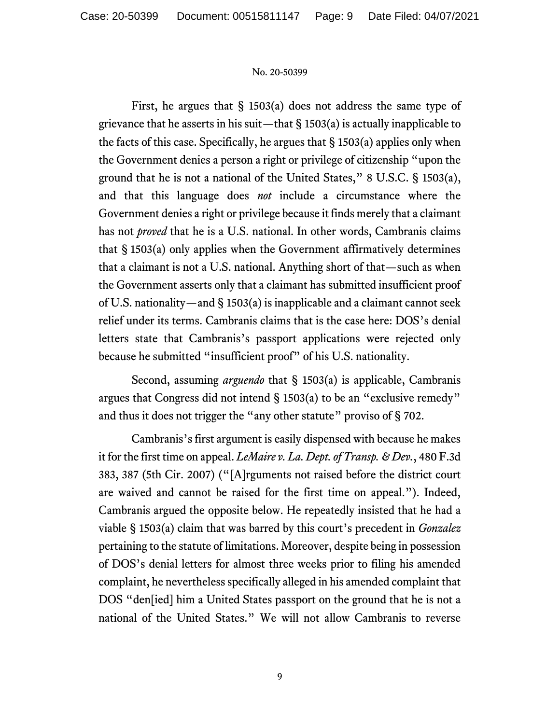First, he argues that  $\S$  1503(a) does not address the same type of grievance that he asserts in his suit—that  $\S$  1503(a) is actually inapplicable to the facts of this case. Specifically, he argues that § 1503(a) applies only when the Government denies a person a right or privilege of citizenship "upon the ground that he is not a national of the United States," 8 U.S.C. § 1503(a), and that this language does *not* include a circumstance where the Government denies a right or privilege because it finds merely that a claimant has not *proved* that he is a U.S. national. In other words, Cambranis claims that § 1503(a) only applies when the Government affirmatively determines that a claimant is not a U.S. national. Anything short of that—such as when the Government asserts only that a claimant has submitted insufficient proof of U.S. nationality—and § 1503(a) is inapplicable and a claimant cannot seek relief under its terms. Cambranis claims that is the case here: DOS's denial letters state that Cambranis's passport applications were rejected only because he submitted "insufficient proof" of his U.S. nationality.

Second, assuming *arguendo* that § 1503(a) is applicable, Cambranis argues that Congress did not intend § 1503(a) to be an "exclusive remedy" and thus it does not trigger the "any other statute" proviso of § 702.

Cambranis's first argument is easily dispensed with because he makes it for the first time on appeal. *LeMaire v. La. Dept. of Transp. & Dev.*, 480 F.3d 383, 387 (5th Cir. 2007) ("[A]rguments not raised before the district court are waived and cannot be raised for the first time on appeal."). Indeed, Cambranis argued the opposite below. He repeatedly insisted that he had a viable § 1503(a) claim that was barred by this court's precedent in *Gonzalez* pertaining to the statute of limitations. Moreover, despite being in possession of DOS's denial letters for almost three weeks prior to filing his amended complaint, he nevertheless specifically alleged in his amended complaint that DOS "den[ied] him a United States passport on the ground that he is not a national of the United States." We will not allow Cambranis to reverse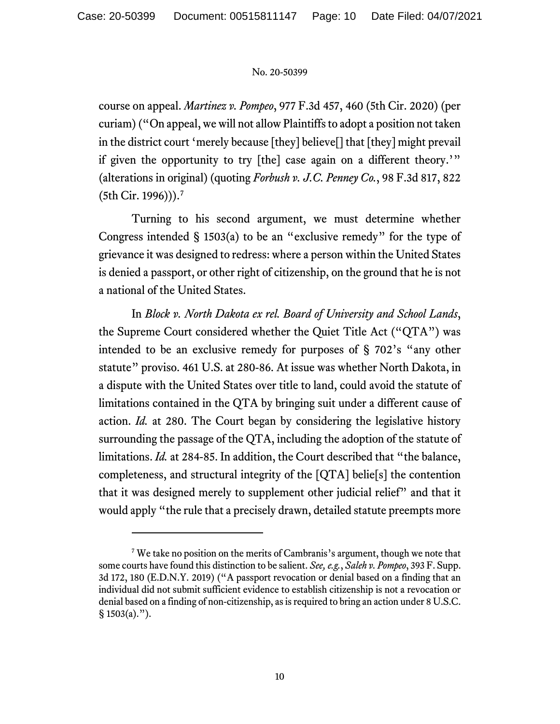course on appeal. *Martinez v. Pompeo*, 977 F.3d 457, 460 (5th Cir. 2020) (per curiam) ("On appeal, we will not allow Plaintiffs to adopt a position not taken in the district court 'merely because [they] believe[] that [they] might prevail if given the opportunity to try [the] case again on a different theory.'" (alterations in original) (quoting *Forbush v. J.C. Penney Co.*, 98 F.3d 817, 822 (5th Cir. 1996))).[7](#page-9-0)

Turning to his second argument, we must determine whether Congress intended  $\S$  1503(a) to be an "exclusive remedy" for the type of grievance it was designed to redress: where a person within the United States is denied a passport, or other right of citizenship, on the ground that he is not a national of the United States.

In *Block v. North Dakota ex rel. Board of University and School Lands*, the Supreme Court considered whether the Quiet Title Act ("QTA") was intended to be an exclusive remedy for purposes of § 702's "any other statute" proviso. 461 U.S. at 280-86. At issue was whether North Dakota, in a dispute with the United States over title to land, could avoid the statute of limitations contained in the QTA by bringing suit under a different cause of action. *Id.* at 280. The Court began by considering the legislative history surrounding the passage of the QTA, including the adoption of the statute of limitations. *Id.* at 284-85. In addition, the Court described that "the balance, completeness, and structural integrity of the [QTA] belie[s] the contention that it was designed merely to supplement other judicial relief" and that it would apply "the rule that a precisely drawn, detailed statute preempts more

<span id="page-9-0"></span><sup>&</sup>lt;sup>7</sup> We take no position on the merits of Cambranis's argument, though we note that some courts have found this distinction to be salient. *See, e.g.*, *Saleh v. Pompeo*, 393 F. Supp. 3d 172, 180 (E.D.N.Y. 2019) ("A passport revocation or denial based on a finding that an individual did not submit sufficient evidence to establish citizenship is not a revocation or denial based on a finding of non-citizenship, as is required to bring an action under 8 U.S.C.  $§ 1503(a).$ ").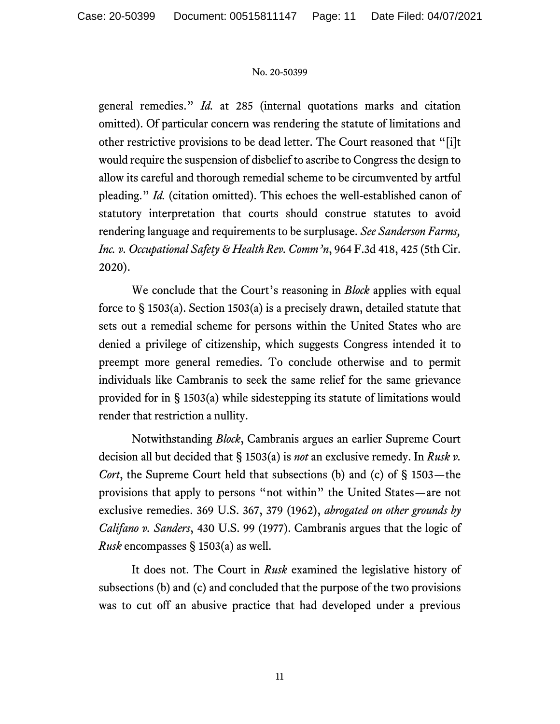general remedies." *Id.* at 285 (internal quotations marks and citation omitted). Of particular concern was rendering the statute of limitations and other restrictive provisions to be dead letter. The Court reasoned that "[i]t would require the suspension of disbelief to ascribe to Congress the design to allow its careful and thorough remedial scheme to be circumvented by artful pleading." *Id.* (citation omitted). This echoes the well-established canon of statutory interpretation that courts should construe statutes to avoid rendering language and requirements to be surplusage. *See Sanderson Farms, Inc. v. Occupational Safety & Health Rev. Comm'n*, 964 F.3d 418, 425 (5th Cir. 2020).

We conclude that the Court's reasoning in *Block* applies with equal force to § 1503(a). Section 1503(a) is a precisely drawn, detailed statute that sets out a remedial scheme for persons within the United States who are denied a privilege of citizenship, which suggests Congress intended it to preempt more general remedies. To conclude otherwise and to permit individuals like Cambranis to seek the same relief for the same grievance provided for in § 1503(a) while sidestepping its statute of limitations would render that restriction a nullity.

Notwithstanding *Block*, Cambranis argues an earlier Supreme Court decision all but decided that § 1503(a) is *not* an exclusive remedy. In *Rusk v. Cort*, the Supreme Court held that subsections (b) and (c) of § 1503—the provisions that apply to persons "not within" the United States—are not exclusive remedies. 369 U.S. 367, 379 (1962), *abrogated on other grounds by Califano v. Sanders*, 430 U.S. 99 (1977). Cambranis argues that the logic of *Rusk* encompasses § 1503(a) as well.

It does not. The Court in *Rusk* examined the legislative history of subsections (b) and (c) and concluded that the purpose of the two provisions was to cut off an abusive practice that had developed under a previous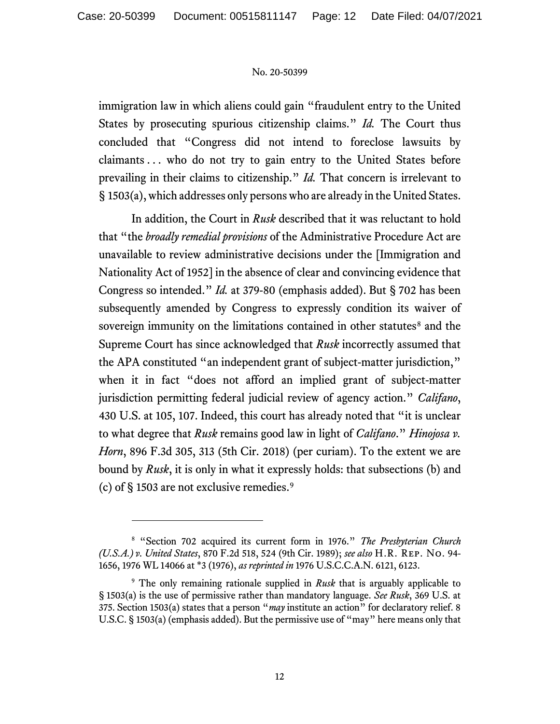immigration law in which aliens could gain "fraudulent entry to the United States by prosecuting spurious citizenship claims." *Id.* The Court thus concluded that "Congress did not intend to foreclose lawsuits by claimants . . . who do not try to gain entry to the United States before prevailing in their claims to citizenship." *Id.* That concern is irrelevant to § 1503(a), which addresses only persons who are already in the United States.

In addition, the Court in *Rusk* described that it was reluctant to hold that "the *broadly remedial provisions* of the Administrative Procedure Act are unavailable to review administrative decisions under the [Immigration and Nationality Act of 1952] in the absence of clear and convincing evidence that Congress so intended." *Id.* at 379-80 (emphasis added). But § 702 has been subsequently amended by Congress to expressly condition its waiver of sovereign immunity on the limitations contained in other statutes<sup>[8](#page-11-0)</sup> and the Supreme Court has since acknowledged that *Rusk* incorrectly assumed that the APA constituted "an independent grant of subject-matter jurisdiction," when it in fact "does not afford an implied grant of subject-matter jurisdiction permitting federal judicial review of agency action." *Califano*, 430 U.S. at 105, 107. Indeed, this court has already noted that "it is unclear to what degree that *Rusk* remains good law in light of *Califano*." *Hinojosa v. Horn*, 896 F.3d 305, 313 (5th Cir. 2018) (per curiam). To the extent we are bound by *Rusk*, it is only in what it expressly holds: that subsections (b) and (c) of  $\S$  1503 are not exclusive remedies.<sup>[9](#page-11-1)</sup>

<span id="page-11-0"></span><sup>8</sup> "Section 702 acquired its current form in 1976." *The Presbyterian Church (U.S.A.) v. United States*, 870 F.2d 518, 524 (9th Cir. 1989); *see also* H.R. Rep. No. 94- 1656, 1976 WL 14066 at \*3 (1976), *as reprinted in* 1976 U.S.C.C.A.N. 6121, 6123.

<span id="page-11-1"></span><sup>9</sup> The only remaining rationale supplied in *Rusk* that is arguably applicable to § 1503(a) is the use of permissive rather than mandatory language. *See Rusk*, 369 U.S. at 375. Section 1503(a) states that a person "*may* institute an action" for declaratory relief. 8 U.S.C. § 1503(a) (emphasis added). But the permissive use of "may" here means only that